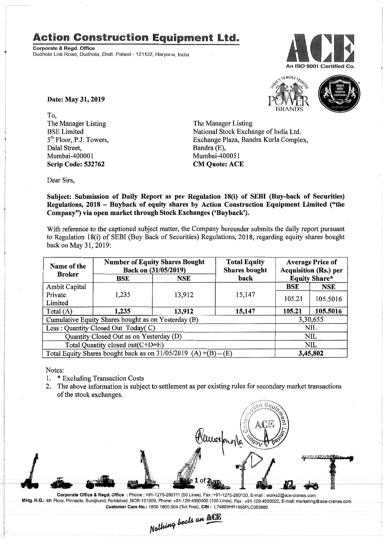## Action Construction Equipment Ltd..

Corporate & Regd. Office Dudhola Link Road, Dudhola, Distt. Palwal- 121102, Haryana, India





Date: May 31,2019

To, The Manager Listing BSE Limited 5<sup>th</sup> Floor, P.J. Towers, Dalal Street, Mumbai-400001 Scrip Code: 532762

The Manager Listing National Stock Exchange of India Ltd. Exchange Plaza, Bandra Kurla Complex, Bandra (E), Mumbai-40005I CM Quote: ACE

Dear Sirs,

Subject: Submission of Daily Report as per Regulation 18(i) of SEBI (Buy-back of Securities) Regulations, 2018 - Buyback of equity shares by Action Construction Equipment Limited ("the Company") via open market through Stock Exchanges ('Buyback').

With reference to the captioned subject matter, the Company hereunder submits the daily report pursuant to Regulation I8(i) of SEBI (Buy Back of Securities) Regulations, 2018, regarding equity shares bought back on May 31,2019:

| Name of the<br><b>Broker</b>                                      | <b>Number of Equity Shares Bought</b><br>Back on (31/05/2019) |            | <b>Total Equity</b><br><b>Shares bought</b> | <b>Average Price of</b><br>Acquisition (Rs.) per |                      |  |
|-------------------------------------------------------------------|---------------------------------------------------------------|------------|---------------------------------------------|--------------------------------------------------|----------------------|--|
|                                                                   | BSE                                                           | <b>NSE</b> | back                                        |                                                  | <b>Equity Share*</b> |  |
| <b>Ambit Capital</b>                                              |                                                               |            |                                             | <b>BSE</b>                                       | <b>NSE</b>           |  |
| Private<br>Limited                                                | 1,235                                                         | 13,912     | 15,147                                      | 105.21                                           | 105.5016             |  |
| Total $(A)$                                                       | 1,235                                                         | 13,912     | 15,147                                      | 105.21                                           | 105.5016             |  |
| Cumulative Equity Shares bought as on Yesterday (B)               |                                                               |            |                                             |                                                  | 3,30,655             |  |
| Less: Quantity Closed Out Today(C)                                |                                                               |            |                                             | NIL.                                             |                      |  |
| Quantity Closed Out as on Yesterday (D)                           |                                                               |            |                                             |                                                  | <b>NIL</b>           |  |
| Total Quantity closed out(C+D=E)                                  |                                                               |            |                                             |                                                  | <b>NIL</b>           |  |
| Total Equity Shares bought back as on $31/05/2019$ (A) +(B) – (E) |                                                               |            |                                             | 3,45,802                                         |                      |  |

Notes:

- 1. \* Excluding Transaction Costs
- 2. The above information is subject to settlement as per existing rules for secondary market transactions of the stock exchanges.



Corporate Office & Regd. Office: Phone: +91-1275-280111(50 Lines). Fax:+91-1275-280133. E-mail: works2@ace-cranes.com Mktg. H.Q.: 4th Floor, Pinnacle, Surajkund, Faridabad, NCR-121009, Phone: +91-129-4550000 (100 Lines), Fax: +91-129-4550022, E-mail: marketing@ace-cranes.com

Customer Care No.: 1800 1800 004 (Toll Free), CIN: L74899HR1995PLC053860<br>Mathing beats an **ACK**